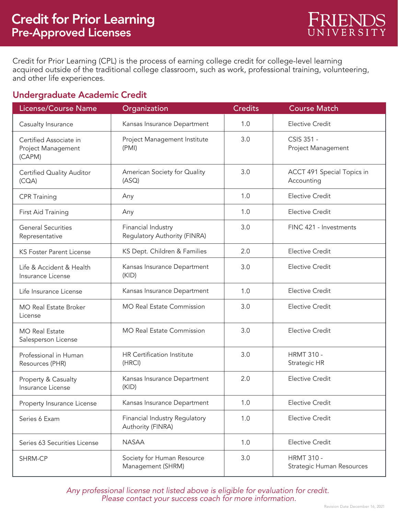Credit for Prior Learning (CPL) is the process of earning college credit for college-level learning acquired outside of the traditional college classroom, such as work, professional training, volunteering, and other life experiences.

## Undergraduate Academic Credit

| License/Course Name                                    | Organization                                       | <b>Credits</b> | <b>Course Match</b>                                   |
|--------------------------------------------------------|----------------------------------------------------|----------------|-------------------------------------------------------|
| Casualty Insurance                                     | Kansas Insurance Department                        | 1.0            | <b>Elective Credit</b>                                |
| Certified Associate in<br>Project Management<br>(CAPM) | Project Management Institute<br>(PMI)              | 3.0            | CSIS 351 -<br>Project Management                      |
| <b>Certified Quality Auditor</b><br>(CQA)              | American Society for Quality<br>(ASQ)              | 3.0            | ACCT 491 Special Topics in<br>Accounting              |
| <b>CPR Training</b>                                    | Any                                                | 1.0            | <b>Elective Credit</b>                                |
| First Aid Training                                     | Any                                                | 1.0            | <b>Elective Credit</b>                                |
| <b>General Securities</b><br>Representative            | Financial Industry<br>Regulatory Authority (FINRA) | 3.0            | FINC 421 - Investments                                |
| <b>KS Foster Parent License</b>                        | KS Dept. Children & Families                       | 2.0            | <b>Elective Credit</b>                                |
| Life & Accident & Health<br>Insurance License          | Kansas Insurance Department<br>(KID)               | 3.0            | <b>Elective Credit</b>                                |
| Life Insurance License                                 | Kansas Insurance Department                        | 1.0            | <b>Elective Credit</b>                                |
| <b>MO Real Estate Broker</b><br>License                | <b>MO Real Estate Commission</b>                   | 3.0            | <b>Elective Credit</b>                                |
| <b>MO Real Estate</b><br>Salesperson License           | <b>MO Real Estate Commission</b>                   | 3.0            | <b>Elective Credit</b>                                |
| Professional in Human<br>Resources (PHR)               | <b>HR Certification Institute</b><br>(HRCI)        | 3.0            | <b>HRMT 310 -</b><br>Strategic HR                     |
| Property & Casualty<br>Insurance License               | Kansas Insurance Department<br>(KID)               | 2.0            | <b>Elective Credit</b>                                |
| Property Insurance License                             | Kansas Insurance Department                        | 1.0            | <b>Elective Credit</b>                                |
| Series 6 Exam                                          | Financial Industry Regulatory<br>Authority (FINRA) | 1.0            | <b>Elective Credit</b>                                |
| Series 63 Securities License                           | <b>NASAA</b>                                       | 1.0            | <b>Elective Credit</b>                                |
| SHRM-CP                                                | Society for Human Resource<br>Management (SHRM)    | 3.0            | <b>HRMT 310 -</b><br><b>Strategic Human Resources</b> |

*Any professional license not listed above is eligible for evaluation for credit. Please contact your success coach for more information.*